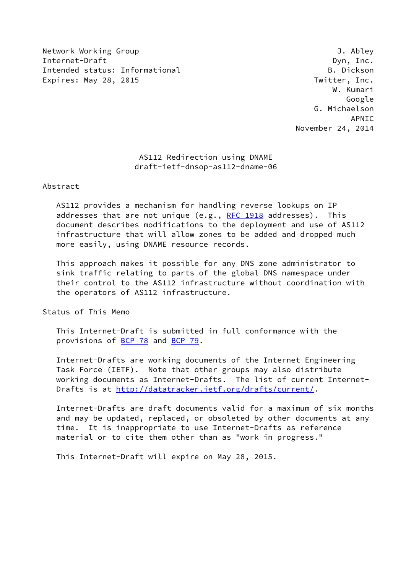Network Working Group J. Abley Internet-Draft Dyn, Inc. Intended status: Informational B. Dickson Expires: May 28, 2015 **Twitter, Inc.** 

 W. Kumari Google G. Michaelson APNIC November 24, 2014

## AS112 Redirection using DNAME draft-ietf-dnsop-as112-dname-06

Abstract

 AS112 provides a mechanism for handling reverse lookups on IP addresses that are not unique (e.g., [RFC 1918](https://datatracker.ietf.org/doc/pdf/rfc1918) addresses). This document describes modifications to the deployment and use of AS112 infrastructure that will allow zones to be added and dropped much more easily, using DNAME resource records.

 This approach makes it possible for any DNS zone administrator to sink traffic relating to parts of the global DNS namespace under their control to the AS112 infrastructure without coordination with the operators of AS112 infrastructure.

Status of This Memo

 This Internet-Draft is submitted in full conformance with the provisions of [BCP 78](https://datatracker.ietf.org/doc/pdf/bcp78) and [BCP 79](https://datatracker.ietf.org/doc/pdf/bcp79).

 Internet-Drafts are working documents of the Internet Engineering Task Force (IETF). Note that other groups may also distribute working documents as Internet-Drafts. The list of current Internet- Drafts is at<http://datatracker.ietf.org/drafts/current/>.

 Internet-Drafts are draft documents valid for a maximum of six months and may be updated, replaced, or obsoleted by other documents at any time. It is inappropriate to use Internet-Drafts as reference material or to cite them other than as "work in progress."

This Internet-Draft will expire on May 28, 2015.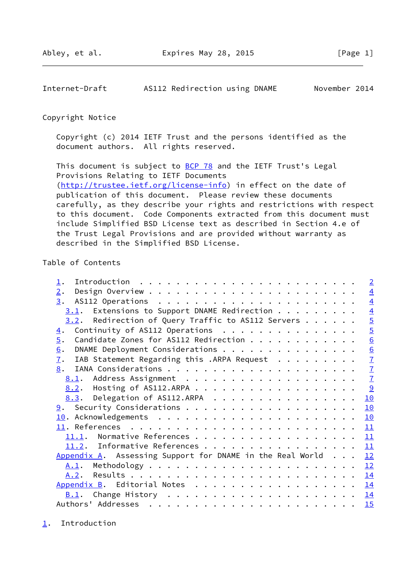<span id="page-1-1"></span>Internet-Draft AS112 Redirection using DNAME November 2014

### Copyright Notice

 Copyright (c) 2014 IETF Trust and the persons identified as the document authors. All rights reserved.

This document is subject to **[BCP 78](https://datatracker.ietf.org/doc/pdf/bcp78)** and the IETF Trust's Legal Provisions Relating to IETF Documents [\(http://trustee.ietf.org/license-info](http://trustee.ietf.org/license-info)) in effect on the date of publication of this document. Please review these documents carefully, as they describe your rights and restrictions with respect to this document. Code Components extracted from this document must include Simplified BSD License text as described in Section 4.e of the Trust Legal Provisions and are provided without warranty as described in the Simplified BSD License.

## Table of Contents

|                                                                   | $\overline{2}$  |
|-------------------------------------------------------------------|-----------------|
| 2.                                                                | $\overline{4}$  |
| 3.                                                                | $\overline{4}$  |
| $3.1$ . Extensions to Support DNAME Redirection                   | $\overline{4}$  |
| $3.2$ . Redirection of Query Traffic to AS112 Servers             | $\overline{5}$  |
| Continuity of AS112 Operations<br>$\overline{4}$ .                | $\overline{5}$  |
| Candidate Zones for AS112 Redirection<br>5.                       | $\underline{6}$ |
| DNAME Deployment Considerations<br>6.                             |                 |
| IAB Statement Regarding this .ARPA Request<br>$\mathbf{I}$ .      | $\frac{6}{7}$   |
| 8.                                                                | $\overline{1}$  |
|                                                                   | $\overline{1}$  |
| 8.2. Hosting of AS112.ARPA                                        | 9               |
| 8.3. Delegation of AS112.ARPA                                     | 10              |
|                                                                   | 10              |
|                                                                   | 10              |
|                                                                   | 11              |
| 11.1. Normative References                                        | 11              |
| 11.2. Informative References                                      | 11              |
| $\Delta$ ppendix A. Assessing Support for DNAME in the Real World | 12              |
|                                                                   | 12              |
|                                                                   | 14              |
| Appendix B. Editorial Notes                                       | 14              |
|                                                                   | <u>14</u>       |
|                                                                   | 15              |

<span id="page-1-0"></span>[1](#page-1-0). Introduction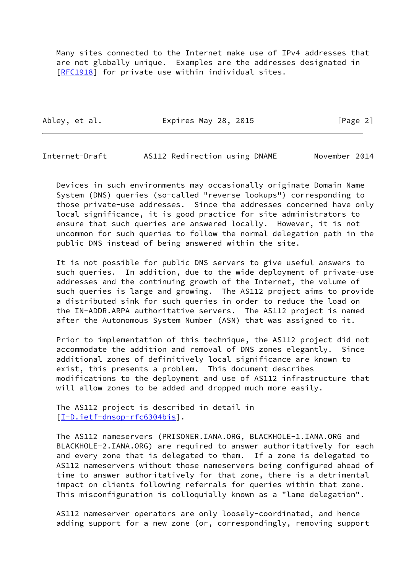Many sites connected to the Internet make use of IPv4 addresses that are not globally unique. Examples are the addresses designated in [\[RFC1918](https://datatracker.ietf.org/doc/pdf/rfc1918)] for private use within individual sites.

Abley, et al. **Expires May 28, 2015** [Page 2]

Internet-Draft AS112 Redirection using DNAME November 2014

 Devices in such environments may occasionally originate Domain Name System (DNS) queries (so-called "reverse lookups") corresponding to those private-use addresses. Since the addresses concerned have only local significance, it is good practice for site administrators to ensure that such queries are answered locally. However, it is not uncommon for such queries to follow the normal delegation path in the public DNS instead of being answered within the site.

 It is not possible for public DNS servers to give useful answers to such queries. In addition, due to the wide deployment of private-use addresses and the continuing growth of the Internet, the volume of such queries is large and growing. The AS112 project aims to provide a distributed sink for such queries in order to reduce the load on the IN-ADDR.ARPA authoritative servers. The AS112 project is named after the Autonomous System Number (ASN) that was assigned to it.

 Prior to implementation of this technique, the AS112 project did not accommodate the addition and removal of DNS zones elegantly. Since additional zones of definitively local significance are known to exist, this presents a problem. This document describes modifications to the deployment and use of AS112 infrastructure that will allow zones to be added and dropped much more easily.

 The AS112 project is described in detail in [\[I-D.ietf-dnsop-rfc6304bis](#page-11-5)].

 The AS112 nameservers (PRISONER.IANA.ORG, BLACKHOLE-1.IANA.ORG and BLACKHOLE-2.IANA.ORG) are required to answer authoritatively for each and every zone that is delegated to them. If a zone is delegated to AS112 nameservers without those nameservers being configured ahead of time to answer authoritatively for that zone, there is a detrimental impact on clients following referrals for queries within that zone. This misconfiguration is colloquially known as a "lame delegation".

 AS112 nameserver operators are only loosely-coordinated, and hence adding support for a new zone (or, correspondingly, removing support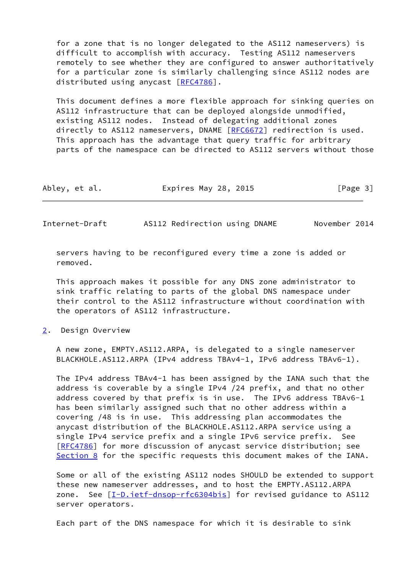for a zone that is no longer delegated to the AS112 nameservers) is difficult to accomplish with accuracy. Testing AS112 nameservers remotely to see whether they are configured to answer authoritatively for a particular zone is similarly challenging since AS112 nodes are distributed using anycast [[RFC4786](https://datatracker.ietf.org/doc/pdf/rfc4786)].

 This document defines a more flexible approach for sinking queries on AS112 infrastructure that can be deployed alongside unmodified, existing AS112 nodes. Instead of delegating additional zones directly to AS112 nameservers, DNAME [\[RFC6672](https://datatracker.ietf.org/doc/pdf/rfc6672)] redirection is used. This approach has the advantage that query traffic for arbitrary parts of the namespace can be directed to AS112 servers without those

| Abley, et al.<br>Expires May 28, 2015 | [Page 3] |
|---------------------------------------|----------|
|---------------------------------------|----------|

<span id="page-3-1"></span>Internet-Draft AS112 Redirection using DNAME November 2014

 servers having to be reconfigured every time a zone is added or removed.

 This approach makes it possible for any DNS zone administrator to sink traffic relating to parts of the global DNS namespace under their control to the AS112 infrastructure without coordination with the operators of AS112 infrastructure.

<span id="page-3-0"></span>[2](#page-3-0). Design Overview

 A new zone, EMPTY.AS112.ARPA, is delegated to a single nameserver BLACKHOLE.AS112.ARPA (IPv4 address TBAv4-1, IPv6 address TBAv6-1).

 The IPv4 address TBAv4-1 has been assigned by the IANA such that the address is coverable by a single IPv4 /24 prefix, and that no other address covered by that prefix is in use. The IPv6 address TBAv6-1 has been similarly assigned such that no other address within a covering /48 is in use. This addressing plan accommodates the anycast distribution of the BLACKHOLE.AS112.ARPA service using a single IPv4 service prefix and a single IPv6 service prefix. See [\[RFC4786](https://datatracker.ietf.org/doc/pdf/rfc4786)] for more discussion of anycast service distribution; see [Section 8](#page-7-1) for the specific requests this document makes of the IANA.

 Some or all of the existing AS112 nodes SHOULD be extended to support these new nameserver addresses, and to host the EMPTY.AS112.ARPA zone. See [[I-D.ietf-dnsop-rfc6304bis\]](#page-11-5) for revised guidance to AS112 server operators.

Each part of the DNS namespace for which it is desirable to sink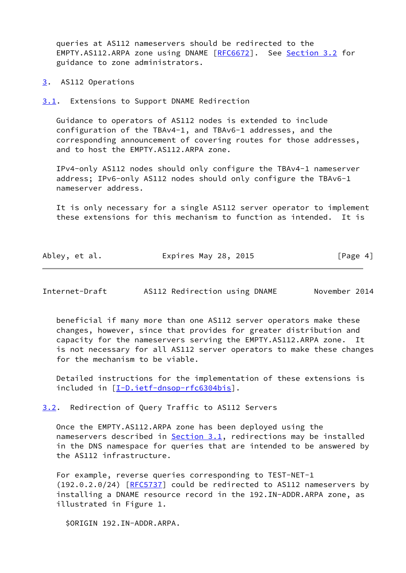queries at AS112 nameservers should be redirected to the EMPTY.AS112.ARPA zone using DNAME [[RFC6672](https://datatracker.ietf.org/doc/pdf/rfc6672)]. See [Section 3.2](#page-4-2) for guidance to zone administrators.

<span id="page-4-0"></span>[3](#page-4-0). AS112 Operations

<span id="page-4-1"></span>[3.1](#page-4-1). Extensions to Support DNAME Redirection

 Guidance to operators of AS112 nodes is extended to include configuration of the TBAv4-1, and TBAv6-1 addresses, and the corresponding announcement of covering routes for those addresses, and to host the EMPTY.AS112.ARPA zone.

 IPv4-only AS112 nodes should only configure the TBAv4-1 nameserver address; IPv6-only AS112 nodes should only configure the TBAv6-1 nameserver address.

 It is only necessary for a single AS112 server operator to implement these extensions for this mechanism to function as intended. It is

| Abley, et al. |  | Expires May 28, 2015 | [Page 4] |
|---------------|--|----------------------|----------|
|---------------|--|----------------------|----------|

<span id="page-4-3"></span>Internet-Draft AS112 Redirection using DNAME November 2014

 beneficial if many more than one AS112 server operators make these changes, however, since that provides for greater distribution and capacity for the nameservers serving the EMPTY.AS112.ARPA zone. It is not necessary for all AS112 server operators to make these changes for the mechanism to be viable.

 Detailed instructions for the implementation of these extensions is included in [\[I-D.ietf-dnsop-rfc6304bis](#page-11-5)].

<span id="page-4-2"></span>[3.2](#page-4-2). Redirection of Query Traffic to AS112 Servers

 Once the EMPTY.AS112.ARPA zone has been deployed using the nameservers described in [Section 3.1](#page-4-1), redirections may be installed in the DNS namespace for queries that are intended to be answered by the AS112 infrastructure.

 For example, reverse queries corresponding to TEST-NET-1 (192.0.2.0/24) [\[RFC5737](https://datatracker.ietf.org/doc/pdf/rfc5737)] could be redirected to AS112 nameservers by installing a DNAME resource record in the 192.IN-ADDR.ARPA zone, as illustrated in Figure 1.

\$ORIGIN 192.IN-ADDR.ARPA.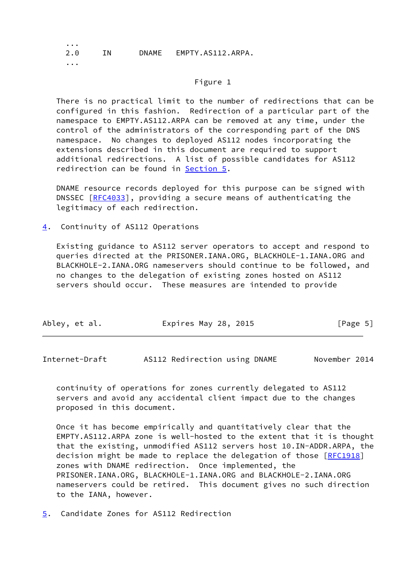2.0 IN DNAME EMPTY.AS112.ARPA.

...

...

## Figure 1

 There is no practical limit to the number of redirections that can be configured in this fashion. Redirection of a particular part of the namespace to EMPTY.AS112.ARPA can be removed at any time, under the control of the administrators of the corresponding part of the DNS namespace. No changes to deployed AS112 nodes incorporating the extensions described in this document are required to support additional redirections. A list of possible candidates for AS112 redirection can be found in [Section 5.](#page-5-1)

 DNAME resource records deployed for this purpose can be signed with DNSSEC [\[RFC4033](https://datatracker.ietf.org/doc/pdf/rfc4033)], providing a secure means of authenticating the legitimacy of each redirection.

<span id="page-5-0"></span>[4](#page-5-0). Continuity of AS112 Operations

 Existing guidance to AS112 server operators to accept and respond to queries directed at the PRISONER.IANA.ORG, BLACKHOLE-1.IANA.ORG and BLACKHOLE-2.IANA.ORG nameservers should continue to be followed, and no changes to the delegation of existing zones hosted on AS112 servers should occur. These measures are intended to provide

| Abley, et al.<br>Expires May 28, 2015 | [Page 5] |
|---------------------------------------|----------|
|---------------------------------------|----------|

<span id="page-5-2"></span>Internet-Draft AS112 Redirection using DNAME November 2014

 continuity of operations for zones currently delegated to AS112 servers and avoid any accidental client impact due to the changes proposed in this document.

 Once it has become empirically and quantitatively clear that the EMPTY.AS112.ARPA zone is well-hosted to the extent that it is thought that the existing, unmodified AS112 servers host 10.IN-ADDR.ARPA, the decision might be made to replace the delegation of those [[RFC1918](https://datatracker.ietf.org/doc/pdf/rfc1918)] zones with DNAME redirection. Once implemented, the PRISONER.IANA.ORG, BLACKHOLE-1.IANA.ORG and BLACKHOLE-2.IANA.ORG nameservers could be retired. This document gives no such direction to the IANA, however.

<span id="page-5-1"></span>[5](#page-5-1). Candidate Zones for AS112 Redirection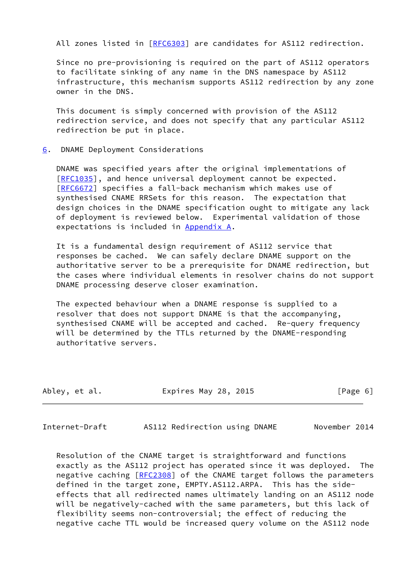All zones listed in [\[RFC6303](https://datatracker.ietf.org/doc/pdf/rfc6303)] are candidates for AS112 redirection.

 Since no pre-provisioning is required on the part of AS112 operators to facilitate sinking of any name in the DNS namespace by AS112 infrastructure, this mechanism supports AS112 redirection by any zone owner in the DNS.

 This document is simply concerned with provision of the AS112 redirection service, and does not specify that any particular AS112 redirection be put in place.

<span id="page-6-0"></span>[6](#page-6-0). DNAME Deployment Considerations

 DNAME was specified years after the original implementations of [\[RFC1035](https://datatracker.ietf.org/doc/pdf/rfc1035)], and hence universal deployment cannot be expected. [\[RFC6672](https://datatracker.ietf.org/doc/pdf/rfc6672)] specifies a fall-back mechanism which makes use of synthesised CNAME RRSets for this reason. The expectation that design choices in the DNAME specification ought to mitigate any lack of deployment is reviewed below. Experimental validation of those expectations is included in [Appendix A.](#page-12-0)

 It is a fundamental design requirement of AS112 service that responses be cached. We can safely declare DNAME support on the authoritative server to be a prerequisite for DNAME redirection, but the cases where individual elements in resolver chains do not support DNAME processing deserve closer examination.

 The expected behaviour when a DNAME response is supplied to a resolver that does not support DNAME is that the accompanying, synthesised CNAME will be accepted and cached. Re-query frequency will be determined by the TTLs returned by the DNAME-responding authoritative servers.

| Abley, et al. | Expires May 28, 2015 | [Page 6] |
|---------------|----------------------|----------|
|---------------|----------------------|----------|

<span id="page-6-1"></span>

| Internet-Draft<br>AS112 Redirection using DNAME |  | November 2014 |
|-------------------------------------------------|--|---------------|
|-------------------------------------------------|--|---------------|

 Resolution of the CNAME target is straightforward and functions exactly as the AS112 project has operated since it was deployed. The negative caching [\[RFC2308](https://datatracker.ietf.org/doc/pdf/rfc2308)] of the CNAME target follows the parameters defined in the target zone, EMPTY.AS112.ARPA. This has the side effects that all redirected names ultimately landing on an AS112 node will be negatively-cached with the same parameters, but this lack of flexibility seems non-controversial; the effect of reducing the negative cache TTL would be increased query volume on the AS112 node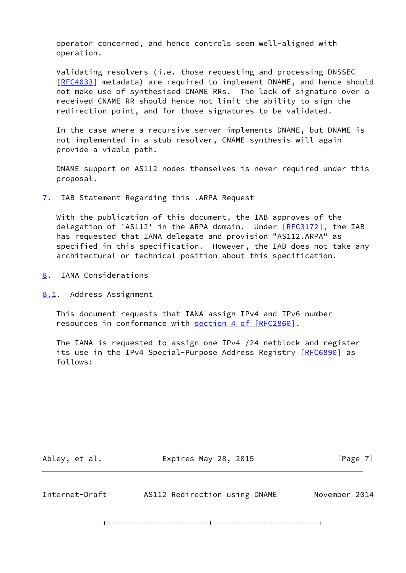operator concerned, and hence controls seem well-aligned with operation.

 Validating resolvers (i.e. those requesting and processing DNSSEC [\[RFC4033](https://datatracker.ietf.org/doc/pdf/rfc4033)] metadata) are required to implement DNAME, and hence should not make use of synthesised CNAME RRs. The lack of signature over a received CNAME RR should hence not limit the ability to sign the redirection point, and for those signatures to be validated.

 In the case where a recursive server implements DNAME, but DNAME is not implemented in a stub resolver, CNAME synthesis will again provide a viable path.

 DNAME support on AS112 nodes themselves is never required under this proposal.

<span id="page-7-0"></span>[7](#page-7-0). IAB Statement Regarding this .ARPA Request

 With the publication of this document, the IAB approves of the delegation of 'AS112' in the ARPA domain. Under [\[RFC3172](https://datatracker.ietf.org/doc/pdf/rfc3172)], the IAB has requested that IANA delegate and provision "AS112.ARPA" as specified in this specification. However, the IAB does not take any architectural or technical position about this specification.

<span id="page-7-1"></span>[8](#page-7-1). IANA Considerations

<span id="page-7-2"></span>[8.1](#page-7-2). Address Assignment

 This document requests that IANA assign IPv4 and IPv6 number resources in conformance with section [4 of \[RFC2860\]](https://datatracker.ietf.org/doc/pdf/rfc2860#section-4).

 The IANA is requested to assign one IPv4 /24 netblock and register its use in the IPv4 Special-Purpose Address Registry [\[RFC6890](https://datatracker.ietf.org/doc/pdf/rfc6890)] as follows:

Abley, et al. **Expires May 28, 2015** [Page 7]

Internet-Draft AS112 Redirection using DNAME November 2014

+----------------------+-----------------------+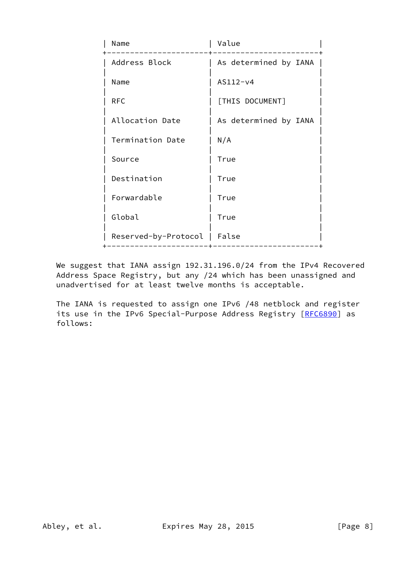| Name                         | Value                 |
|------------------------------|-----------------------|
| Address Block                | As determined by IANA |
| Name                         | $AS112-v4$            |
| <b>RFC</b>                   | [THIS DOCUMENT]       |
| Allocation Date              | As determined by IANA |
| Termination Date             | N/A                   |
| Source                       | True                  |
| Destination                  | True                  |
| Forwardable                  | True                  |
| Global                       | True                  |
| Reserved-by-Protocol   False |                       |

 We suggest that IANA assign 192.31.196.0/24 from the IPv4 Recovered Address Space Registry, but any /24 which has been unassigned and unadvertised for at least twelve months is acceptable.

 The IANA is requested to assign one IPv6 /48 netblock and register its use in the IPv6 Special-Purpose Address Registry [\[RFC6890](https://datatracker.ietf.org/doc/pdf/rfc6890)] as follows: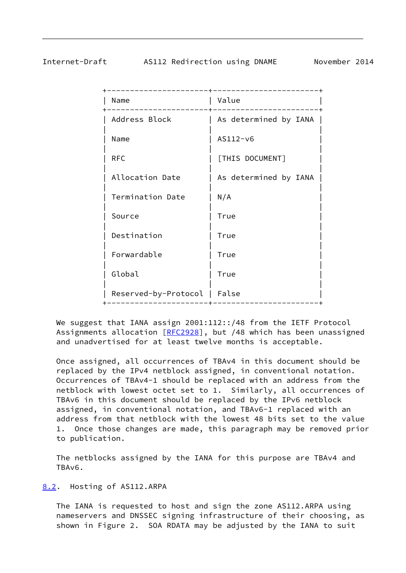## <span id="page-9-1"></span>Internet-Draft AS112 Redirection using DNAME November 2014

| Name                 | Value                 |
|----------------------|-----------------------|
| Address Block        | As determined by IANA |
| Name                 | $AS112-v6$            |
| <b>RFC</b>           | [THIS DOCUMENT]       |
| Allocation Date      | As determined by IANA |
| Termination Date     | N/A                   |
| Source               | True                  |
| Destination          | True                  |
| Forwardable          | True                  |
| Global               | True                  |
| Reserved-by-Protocol | False                 |
|                      |                       |

We suggest that IANA assign 2001:112::/48 from the IETF Protocol Assignments allocation [\[RFC2928](https://datatracker.ietf.org/doc/pdf/rfc2928)], but /48 which has been unassigned and unadvertised for at least twelve months is acceptable.

 Once assigned, all occurrences of TBAv4 in this document should be replaced by the IPv4 netblock assigned, in conventional notation. Occurrences of TBAv4-1 should be replaced with an address from the netblock with lowest octet set to 1. Similarly, all occurrences of TBAv6 in this document should be replaced by the IPv6 netblock assigned, in conventional notation, and TBAv6-1 replaced with an address from that netblock with the lowest 48 bits set to the value 1. Once those changes are made, this paragraph may be removed prior to publication.

 The netblocks assigned by the IANA for this purpose are TBAv4 and TBAv6.

## <span id="page-9-0"></span>[8.2](#page-9-0). Hosting of AS112.ARPA

 The IANA is requested to host and sign the zone AS112.ARPA using nameservers and DNSSEC signing infrastructure of their choosing, as shown in Figure 2. SOA RDATA may be adjusted by the IANA to suit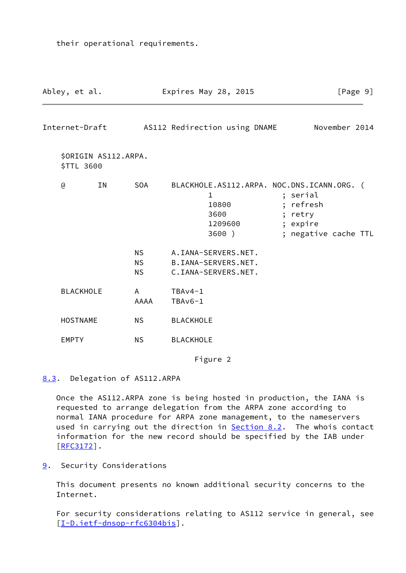<span id="page-10-1"></span>Abley, et al. **Expires May 28, 2015** [Page 9] Internet-Draft AS112 Redirection using DNAME November 2014 \$ORIGIN AS112.ARPA. \$TTL 3600 @ IN SOA BLACKHOLE.AS112.ARPA. NOC.DNS.ICANN.ORG. ( 1 ; serial 10800 ; refresh 3600 ; retry 1209600 ; expire 3600 ) ; negative cache TTL NS A.IANA-SERVERS.NET. NS B.IANA-SERVERS.NET. NS C.IANA-SERVERS.NET. BLACKHOLE A TBAv4-1 AAAA TBAv6-1 HOSTNAME NS BLACKHOLE EMPTY NS BLACKHOLE Figure 2

<span id="page-10-0"></span>[8.3](#page-10-0). Delegation of AS112.ARPA

their operational requirements.

 Once the AS112.ARPA zone is being hosted in production, the IANA is requested to arrange delegation from the ARPA zone according to normal IANA procedure for ARPA zone management, to the nameservers used in carrying out the direction in **Section 8.2.** The whois contact information for the new record should be specified by the IAB under [\[RFC3172](https://datatracker.ietf.org/doc/pdf/rfc3172)].

<span id="page-10-2"></span>[9](#page-10-2). Security Considerations

 This document presents no known additional security concerns to the Internet.

 For security considerations relating to AS112 service in general, see [\[I-D.ietf-dnsop-rfc6304bis](#page-11-5)].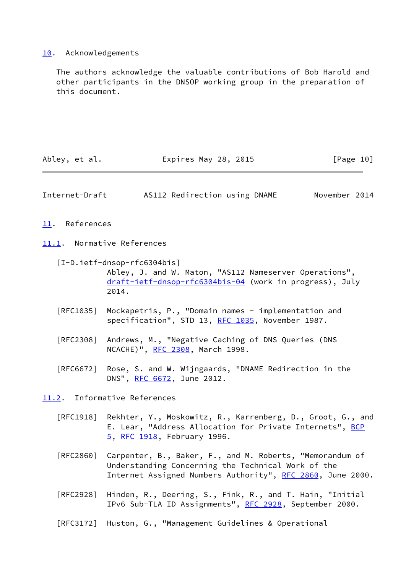# <span id="page-11-0"></span>[10.](#page-11-0) Acknowledgements

 The authors acknowledge the valuable contributions of Bob Harold and other participants in the DNSOP working group in the preparation of this document.

<span id="page-11-5"></span><span id="page-11-4"></span><span id="page-11-3"></span><span id="page-11-2"></span><span id="page-11-1"></span>

| Abley, et al.  | Expires May 28, 2015                                                                                                                                                                   | [Page 10]     |
|----------------|----------------------------------------------------------------------------------------------------------------------------------------------------------------------------------------|---------------|
| Internet-Draft | AS112 Redirection using DNAME                                                                                                                                                          | November 2014 |
| 11. References |                                                                                                                                                                                        |               |
|                | 11.1. Normative References                                                                                                                                                             |               |
|                | $[I-D.ietf-dnsop-rfc6304bis]$<br>Abley, J. and W. Maton, "AS112 Nameserver Operations",<br>draft-ietf-dnsop-rfc6304bis-04 (work in progress), July<br>2014.                            |               |
| [RFC1035]      | Mockapetris, P., "Domain names - implementation and<br>specification", STD 13, RFC 1035, November 1987.                                                                                |               |
|                | [RFC2308] Andrews, M., "Negative Caching of DNS Queries (DNS<br>NCACHE)", RFC 2308, March 1998.                                                                                        |               |
|                | [RFC6672] Rose, S. and W. Wijngaards, "DNAME Redirection in the<br>DNS", RFC 6672, June 2012.                                                                                          |               |
|                | 11.2. Informative References                                                                                                                                                           |               |
|                | [RFC1918] Rekhter, Y., Moskowitz, R., Karrenberg, D., Groot, G., and<br>E. Lear, "Address Allocation for Private Internets", BCP<br>5, RFC 1918, February 1996.                        |               |
|                | [RFC2860] Carpenter, B., Baker, F., and M. Roberts, "Memorandum of<br>Understanding Concerning the Technical Work of the<br>Internet Assigned Numbers Authority", RFC 2860, June 2000. |               |
| [RFC2928]      | Hinden, R., Deering, S., Fink, R., and T. Hain, "Initial<br>IPv6 Sub-TLA ID Assignments", RFC 2928, September 2000.                                                                    |               |
| [RFC3172]      | Huston, G., "Management Guidelines & Operational                                                                                                                                       |               |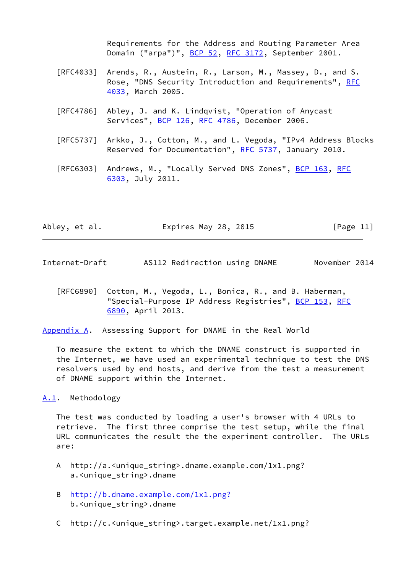Requirements for the Address and Routing Parameter Area Domain ("arpa")", [BCP 52](https://datatracker.ietf.org/doc/pdf/bcp52), [RFC 3172](https://datatracker.ietf.org/doc/pdf/rfc3172), September 2001.

- [RFC4033] Arends, R., Austein, R., Larson, M., Massey, D., and S. Rose, "DNS Security Introduction and Requirements", [RFC](https://datatracker.ietf.org/doc/pdf/rfc4033) [4033,](https://datatracker.ietf.org/doc/pdf/rfc4033) March 2005.
- [RFC4786] Abley, J. and K. Lindqvist, "Operation of Anycast Services", [BCP 126](https://datatracker.ietf.org/doc/pdf/bcp126), [RFC 4786,](https://datatracker.ietf.org/doc/pdf/rfc4786) December 2006.
- [RFC5737] Arkko, J., Cotton, M., and L. Vegoda, "IPv4 Address Blocks Reserved for Documentation", [RFC 5737](https://datatracker.ietf.org/doc/pdf/rfc5737), January 2010.
- [RFC6303] Andrews, M., "Locally Served DNS Zones", [BCP 163,](https://datatracker.ietf.org/doc/pdf/bcp163) [RFC](https://datatracker.ietf.org/doc/pdf/rfc6303) [6303,](https://datatracker.ietf.org/doc/pdf/rfc6303) July 2011.

| Abley, et al. | Expires May 28, 2015 | [Page 11] |
|---------------|----------------------|-----------|
|---------------|----------------------|-----------|

- <span id="page-12-1"></span>Internet-Draft AS112 Redirection using DNAME November 2014
	- [RFC6890] Cotton, M., Vegoda, L., Bonica, R., and B. Haberman, "Special-Purpose IP Address Registries", [BCP 153,](https://datatracker.ietf.org/doc/pdf/bcp153) [RFC](https://datatracker.ietf.org/doc/pdf/rfc6890) [6890,](https://datatracker.ietf.org/doc/pdf/rfc6890) April 2013.
- <span id="page-12-0"></span>[Appendix A.](#page-12-0) Assessing Support for DNAME in the Real World

 To measure the extent to which the DNAME construct is supported in the Internet, we have used an experimental technique to test the DNS resolvers used by end hosts, and derive from the test a measurement of DNAME support within the Internet.

<span id="page-12-2"></span>[A.1](#page-12-2). Methodology

 The test was conducted by loading a user's browser with 4 URLs to retrieve. The first three comprise the test setup, while the final URL communicates the result the the experiment controller. The URLs are:

- A http://a.<unique\_string>.dname.example.com/1x1.png? a.<unique\_string>.dname
- B <http://b.dname.example.com/1x1.png?> b.<unique\_string>.dname
- C http://c.<unique\_string>.target.example.net/1x1.png?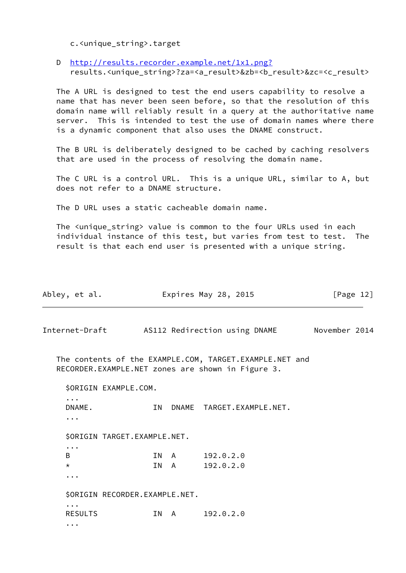c.<unique\_string>.target

 D <http://results.recorder.example.net/1x1.png?> results.<unique\_string>?za=<a\_result>&zb=<b\_result>&zc=<c\_result>

 The A URL is designed to test the end users capability to resolve a name that has never been seen before, so that the resolution of this domain name will reliably result in a query at the authoritative name server. This is intended to test the use of domain names where there is a dynamic component that also uses the DNAME construct.

 The B URL is deliberately designed to be cached by caching resolvers that are used in the process of resolving the domain name.

 The C URL is a control URL. This is a unique URL, similar to A, but does not refer to a DNAME structure.

The D URL uses a static cacheable domain name.

The <unique string> value is common to the four URLs used in each individual instance of this test, but varies from test to test. The result is that each end user is presented with a unique string.

| Abley, et al.                                                                                |    |      | Expires May 28, 2015                                                                                         | [Page $12$ ] |
|----------------------------------------------------------------------------------------------|----|------|--------------------------------------------------------------------------------------------------------------|--------------|
|                                                                                              |    |      | Internet-Draft AS112 Redirection using DNAME November 2014                                                   |              |
|                                                                                              |    |      | The contents of the EXAMPLE.COM, TARGET.EXAMPLE.NET and<br>RECORDER.EXAMPLE.NET zones are shown in Figure 3. |              |
| \$ORIGIN EXAMPLE.COM.                                                                        |    |      |                                                                                                              |              |
| $\ddotsc$<br>DNAME.<br>$\ddotsc$                                                             | IN |      | DNAME TARGET.EXAMPLE.NET.                                                                                    |              |
| \$ORIGIN TARGET.EXAMPLE.NET.                                                                 |    |      |                                                                                                              |              |
| $\ddot{\bullet}$ $\ddot{\bullet}$ $\ddot{\bullet}$<br>B<br>$\star$<br>$\cdots$               |    | TN A | IN A 192.0.2.0<br>192.0.2.0                                                                                  |              |
| \$ORIGIN RECORDER.EXAMPLE.NET.                                                               |    |      |                                                                                                              |              |
| $\ddot{\bullet}$ $\ddot{\bullet}$ $\ddot{\bullet}$<br><b>RESULTS</b><br>$\ddot{\phantom{a}}$ |    | IN A | 192.0.2.0                                                                                                    |              |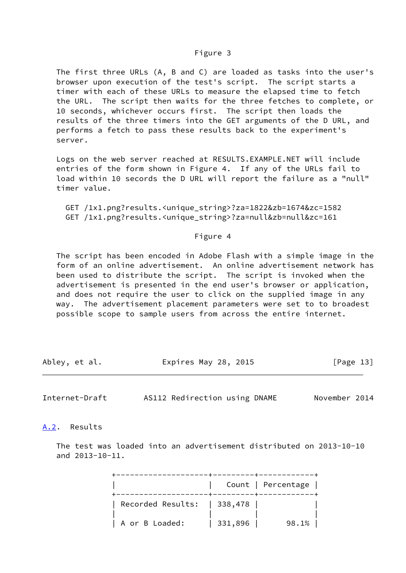#### Figure 3

 The first three URLs (A, B and C) are loaded as tasks into the user's browser upon execution of the test's script. The script starts a timer with each of these URLs to measure the elapsed time to fetch the URL. The script then waits for the three fetches to complete, or 10 seconds, whichever occurs first. The script then loads the results of the three timers into the GET arguments of the D URL, and performs a fetch to pass these results back to the experiment's server.

 Logs on the web server reached at RESULTS.EXAMPLE.NET will include entries of the form shown in Figure 4. If any of the URLs fail to load within 10 secords the D URL will report the failure as a "null" timer value.

 GET /1x1.png?results.<unique\_string>?za=1822&zb=1674&zc=1582 GET /1x1.png?results.<unique\_string>?za=null&zb=null&zc=161

#### Figure 4

 The script has been encoded in Adobe Flash with a simple image in the form of an online advertisement. An online advertisement network has been used to distribute the script. The script is invoked when the advertisement is presented in the end user's browser or application, and does not require the user to click on the supplied image in any way. The advertisement placement parameters were set to to broadest possible scope to sample users from across the entire internet.

| Abley, et al. | Expires May 28, 2015 | [Page 13] |
|---------------|----------------------|-----------|
|               |                      |           |

<span id="page-14-1"></span>Internet-Draft AS112 Redirection using DNAME November 2014

<span id="page-14-0"></span>[A.2](#page-14-0). Results

 The test was loaded into an advertisement distributed on 2013-10-10 and 2013-10-11.

|                             |         | Count   Percentage |
|-----------------------------|---------|--------------------|
| Recorded Results:   338,478 |         |                    |
| A or B Loaded:              | 331,896 | 98.1%              |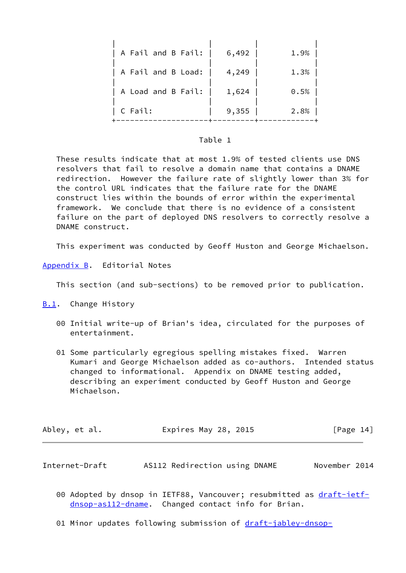| A Fail and B Fail: | 6,492 | 1.9% |
|--------------------|-------|------|
| A Fail and B Load: | 4,249 | 1.3% |
| A Load and B Fail: | 1,624 | 0.5% |
| C Fail:            | 9,355 | 2.8% |

#### Table 1

 These results indicate that at most 1.9% of tested clients use DNS resolvers that fail to resolve a domain name that contains a DNAME redirection. However the failure rate of slightly lower than 3% for the control URL indicates that the failure rate for the DNAME construct lies within the bounds of error within the experimental framework. We conclude that there is no evidence of a consistent failure on the part of deployed DNS resolvers to correctly resolve a DNAME construct.

This experiment was conducted by Geoff Huston and George Michaelson.

<span id="page-15-0"></span>[Appendix B.](#page-15-0) Editorial Notes

This section (and sub-sections) to be removed prior to publication.

<span id="page-15-1"></span>[B.1](#page-15-1). Change History

- 00 Initial write-up of Brian's idea, circulated for the purposes of entertainment.
- 01 Some particularly egregious spelling mistakes fixed. Warren Kumari and George Michaelson added as co-authors. Intended status changed to informational. Appendix on DNAME testing added, describing an experiment conducted by Geoff Huston and George Michaelson.

| Abley, et al. | Expires May 28, 2015 |  | [Page 14] |  |
|---------------|----------------------|--|-----------|--|
|               |                      |  |           |  |

<span id="page-15-2"></span>Internet-Draft AS112 Redirection using DNAME November 2014

- 00 Adopted by dnsop in IETF88, Vancouver; resubmitted as [draft-ietf](https://datatracker.ietf.org/doc/pdf/draft-ietf-dnsop-as112-dname) [dnsop-as112-dname.](https://datatracker.ietf.org/doc/pdf/draft-ietf-dnsop-as112-dname) Changed contact info for Brian.
- 01 Minor updates following submission of [draft-jabley-dnsop-](https://datatracker.ietf.org/doc/pdf/draft-jabley-dnsop-rfc6304bis)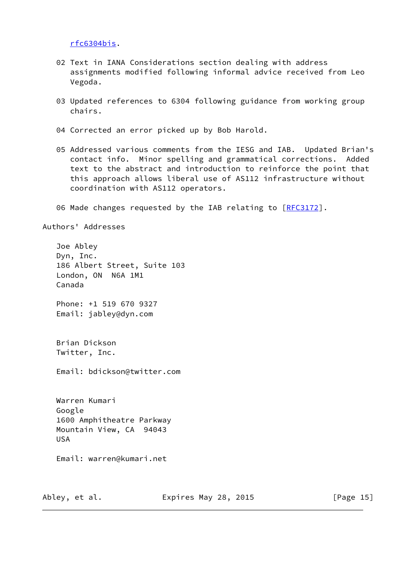[rfc6304bis.](https://datatracker.ietf.org/doc/pdf/draft-jabley-dnsop-rfc6304bis)

- 02 Text in IANA Considerations section dealing with address assignments modified following informal advice received from Leo Vegoda.
- 03 Updated references to 6304 following guidance from working group chairs.
- 04 Corrected an error picked up by Bob Harold.
- 05 Addressed various comments from the IESG and IAB. Updated Brian's contact info. Minor spelling and grammatical corrections. Added text to the abstract and introduction to reinforce the point that this approach allows liberal use of AS112 infrastructure without coordination with AS112 operators.
- 06 Made changes requested by the IAB relating to [\[RFC3172](https://datatracker.ietf.org/doc/pdf/rfc3172)].

Authors' Addresses

 Joe Abley Dyn, Inc. 186 Albert Street, Suite 103 London, ON N6A 1M1 Canada Phone: +1 519 670 9327 Email: jabley@dyn.com Brian Dickson Twitter, Inc. Email: bdickson@twitter.com Warren Kumari Google 1600 Amphitheatre Parkway Mountain View, CA 94043 USA Email: warren@kumari.net

Abley, et al. **Expires May 28, 2015** [Page 15]